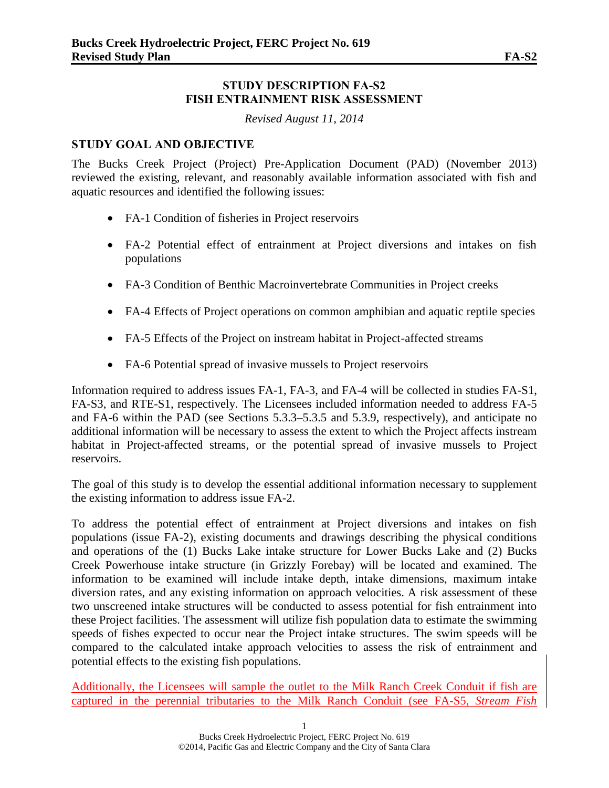#### **STUDY DESCRIPTION FA-S2 FISH ENTRAINMENT RISK ASSESSMENT**

*Revised August 11, 2014*

### **STUDY GOAL AND OBJECTIVE**

The Bucks Creek Project (Project) Pre-Application Document (PAD) (November 2013) reviewed the existing, relevant, and reasonably available information associated with fish and aquatic resources and identified the following issues:

- FA-1 Condition of fisheries in Project reservoirs
- FA-2 Potential effect of entrainment at Project diversions and intakes on fish populations
- FA-3 Condition of Benthic Macroinvertebrate Communities in Project creeks
- FA-4 Effects of Project operations on common amphibian and aquatic reptile species
- FA-5 Effects of the Project on instream habitat in Project-affected streams
- FA-6 Potential spread of invasive mussels to Project reservoirs

Information required to address issues FA-1, FA-3, and FA-4 will be collected in studies FA-S1, FA-S3, and RTE-S1, respectively. The Licensees included information needed to address FA-5 and FA-6 within the PAD (see Sections 5.3.3–5.3.5 and 5.3.9, respectively), and anticipate no additional information will be necessary to assess the extent to which the Project affects instream habitat in Project-affected streams, or the potential spread of invasive mussels to Project reservoirs.

The goal of this study is to develop the essential additional information necessary to supplement the existing information to address issue FA-2.

To address the potential effect of entrainment at Project diversions and intakes on fish populations (issue FA-2), existing documents and drawings describing the physical conditions and operations of the (1) Bucks Lake intake structure for Lower Bucks Lake and (2) Bucks Creek Powerhouse intake structure (in Grizzly Forebay) will be located and examined. The information to be examined will include intake depth, intake dimensions, maximum intake diversion rates, and any existing information on approach velocities. A risk assessment of these two unscreened intake structures will be conducted to assess potential for fish entrainment into these Project facilities. The assessment will utilize fish population data to estimate the swimming speeds of fishes expected to occur near the Project intake structures. The swim speeds will be compared to the calculated intake approach velocities to assess the risk of entrainment and potential effects to the existing fish populations.

Additionally, the Licensees will sample the outlet to the Milk Ranch Creek Conduit if fish are captured in the perennial tributaries to the Milk Ranch Conduit (see FA-S5, *Stream Fish*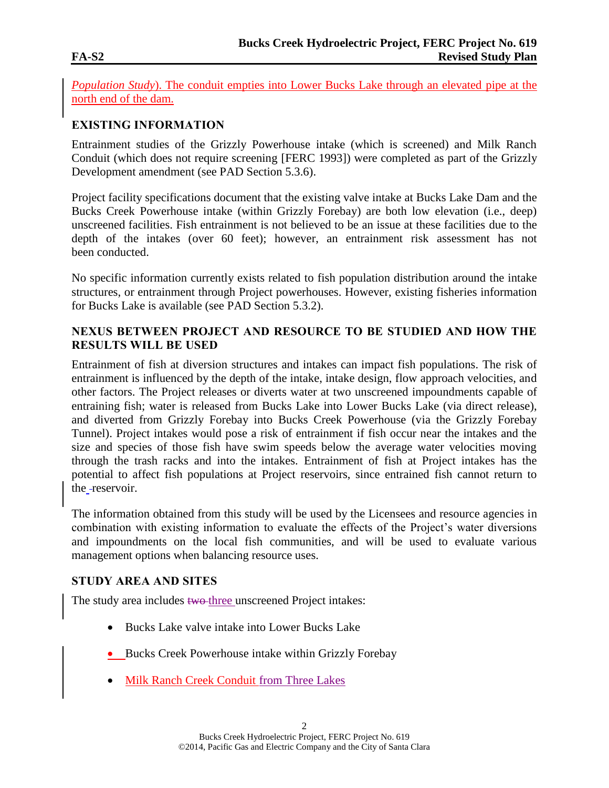*Population Study*). The conduit empties into Lower Bucks Lake through an elevated pipe at the north end of the dam.

# **EXISTING INFORMATION**

Entrainment studies of the Grizzly Powerhouse intake (which is screened) and Milk Ranch Conduit (which does not require screening [FERC 1993]) were completed as part of the Grizzly Development amendment (see PAD Section 5.3.6).

Project facility specifications document that the existing valve intake at Bucks Lake Dam and the Bucks Creek Powerhouse intake (within Grizzly Forebay) are both low elevation (i.e., deep) unscreened facilities. Fish entrainment is not believed to be an issue at these facilities due to the depth of the intakes (over 60 feet); however, an entrainment risk assessment has not been conducted.

No specific information currently exists related to fish population distribution around the intake structures, or entrainment through Project powerhouses. However, existing fisheries information for Bucks Lake is available (see PAD Section 5.3.2).

## **NEXUS BETWEEN PROJECT AND RESOURCE TO BE STUDIED AND HOW THE RESULTS WILL BE USED**

Entrainment of fish at diversion structures and intakes can impact fish populations. The risk of entrainment is influenced by the depth of the intake, intake design, flow approach velocities, and other factors. The Project releases or diverts water at two unscreened impoundments capable of entraining fish; water is released from Bucks Lake into Lower Bucks Lake (via direct release), and diverted from Grizzly Forebay into Bucks Creek Powerhouse (via the Grizzly Forebay Tunnel). Project intakes would pose a risk of entrainment if fish occur near the intakes and the size and species of those fish have swim speeds below the average water velocities moving through the trash racks and into the intakes. Entrainment of fish at Project intakes has the potential to affect fish populations at Project reservoirs, since entrained fish cannot return to the -reservoir.

The information obtained from this study will be used by the Licensees and resource agencies in combination with existing information to evaluate the effects of the Project's water diversions and impoundments on the local fish communities, and will be used to evaluate various management options when balancing resource uses.

## **STUDY AREA AND SITES**

The study area includes two three unscreened Project intakes:

- Bucks Lake valve intake into Lower Bucks Lake
- Bucks Creek Powerhouse intake within Grizzly Forebay
- Milk Ranch Creek Conduit from Three Lakes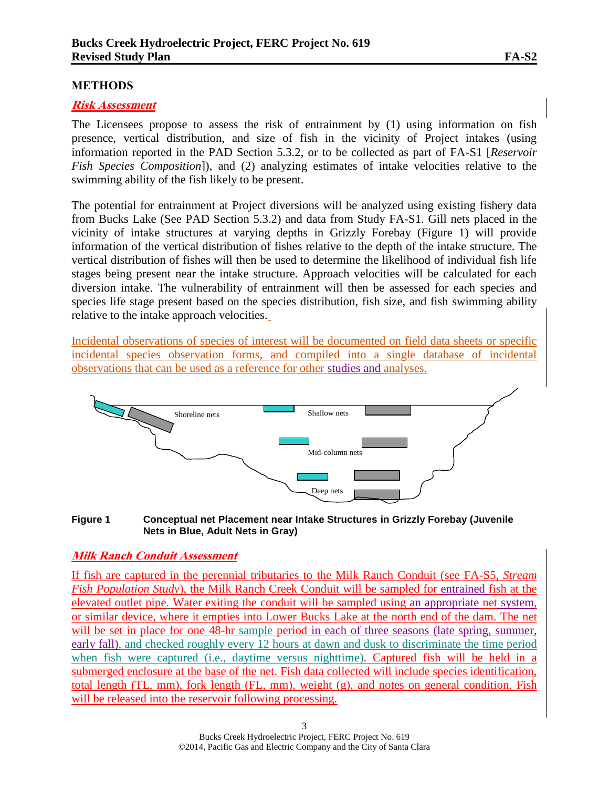#### **METHODS**

#### **Risk Assessment**

The Licensees propose to assess the risk of entrainment by (1) using information on fish presence, vertical distribution, and size of fish in the vicinity of Project intakes (using information reported in the PAD Section 5.3.2, or to be collected as part of FA-S1 [*Reservoir Fish Species Composition*]), and (2) analyzing estimates of intake velocities relative to the swimming ability of the fish likely to be present.

The potential for entrainment at Project diversions will be analyzed using existing fishery data from Bucks Lake (See PAD Section 5.3.2) and data from Study FA-S1. Gill nets placed in the vicinity of intake structures at varying depths in Grizzly Forebay (Figure 1) will provide information of the vertical distribution of fishes relative to the depth of the intake structure. The vertical distribution of fishes will then be used to determine the likelihood of individual fish life stages being present near the intake structure. Approach velocities will be calculated for each diversion intake. The vulnerability of entrainment will then be assessed for each species and species life stage present based on the species distribution, fish size, and fish swimming ability relative to the intake approach velocities.

Incidental observations of species of interest will be documented on field data sheets or specific incidental species observation forms, and compiled into a single database of incidental observations that can be used as a reference for other studies and analyses.



**Figure 1 Conceptual net Placement near Intake Structures in Grizzly Forebay (Juvenile Nets in Blue, Adult Nets in Gray)**

#### **Milk Ranch Conduit Assessment**

If fish are captured in the perennial tributaries to the Milk Ranch Conduit (see FA-S5, *Stream Fish Population Study*), the Milk Ranch Creek Conduit will be sampled for entrained fish at the elevated outlet pipe. Water exiting the conduit will be sampled using an appropriate net system, or similar device, where it empties into Lower Bucks Lake at the north end of the dam. The net will be set in place for one 48-hr sample period in each of three seasons (late spring, summer, early fall), and checked roughly every 12 hours at dawn and dusk to discriminate the time period when fish were captured (i.e., daytime versus nighttime). Captured fish will be held in a submerged enclosure at the base of the net. Fish data collected will include species identification, total length (TL, mm), fork length (FL, mm), weight (g), and notes on general condition. Fish will be released into the reservoir following processing.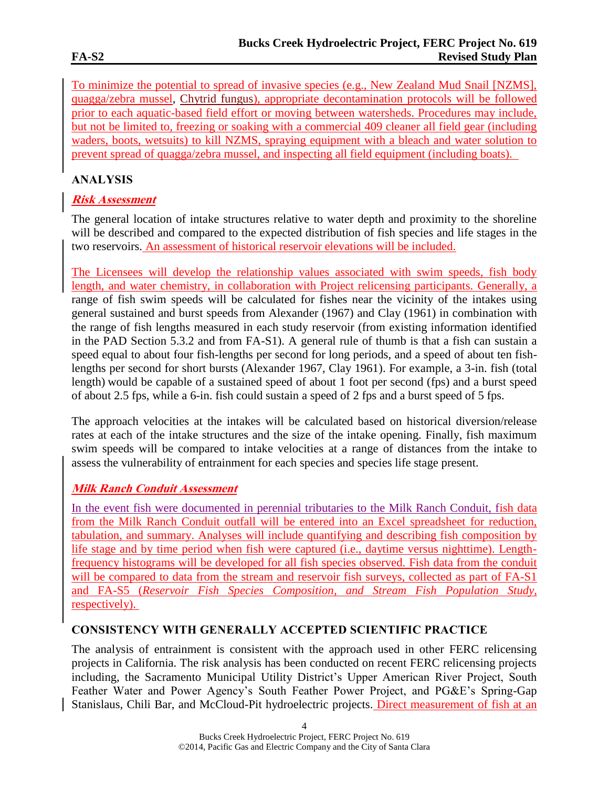To minimize the potential to spread of invasive species (e.g., New Zealand Mud Snail [NZMS], quagga/zebra mussel, Chytrid fungus), appropriate decontamination protocols will be followed prior to each aquatic-based field effort or moving between watersheds. Procedures may include, but not be limited to, freezing or soaking with a commercial 409 cleaner all field gear (including waders, boots, wetsuits) to kill NZMS, spraying equipment with a bleach and water solution to prevent spread of quagga/zebra mussel, and inspecting all field equipment (including boats).

# **ANALYSIS**

# **Risk Assessment**

The general location of intake structures relative to water depth and proximity to the shoreline will be described and compared to the expected distribution of fish species and life stages in the two reservoirs. An assessment of historical reservoir elevations will be included.

The Licensees will develop the relationship values associated with swim speeds, fish body length, and water chemistry, in collaboration with Project relicensing participants. Generally, a range of fish swim speeds will be calculated for fishes near the vicinity of the intakes using general sustained and burst speeds from Alexander (1967) and Clay (1961) in combination with the range of fish lengths measured in each study reservoir (from existing information identified in the PAD Section 5.3.2 and from FA-S1). A general rule of thumb is that a fish can sustain a speed equal to about four fish-lengths per second for long periods, and a speed of about ten fishlengths per second for short bursts (Alexander 1967, Clay 1961). For example, a 3-in. fish (total length) would be capable of a sustained speed of about 1 foot per second (fps) and a burst speed of about 2.5 fps, while a 6-in. fish could sustain a speed of 2 fps and a burst speed of 5 fps.

The approach velocities at the intakes will be calculated based on historical diversion/release rates at each of the intake structures and the size of the intake opening. Finally, fish maximum swim speeds will be compared to intake velocities at a range of distances from the intake to assess the vulnerability of entrainment for each species and species life stage present.

# **Milk Ranch Conduit Assessment**

In the event fish were documented in perennial tributaries to the Milk Ranch Conduit, fish data from the Milk Ranch Conduit outfall will be entered into an Excel spreadsheet for reduction, tabulation, and summary. Analyses will include quantifying and describing fish composition by life stage and by time period when fish were captured (i.e., daytime versus nighttime). Lengthfrequency histograms will be developed for all fish species observed. Fish data from the conduit will be compared to data from the stream and reservoir fish surveys, collected as part of FA-S1 and FA-S5 (*Reservoir Fish Species Composition, and Stream Fish Population Study*, respectively).

# **CONSISTENCY WITH GENERALLY ACCEPTED SCIENTIFIC PRACTICE**

The analysis of entrainment is consistent with the approach used in other FERC relicensing projects in California. The risk analysis has been conducted on recent FERC relicensing projects including, the Sacramento Municipal Utility District's Upper American River Project, South Feather Water and Power Agency's South Feather Power Project, and PG&E's Spring-Gap Stanislaus, Chili Bar, and McCloud-Pit hydroelectric projects. Direct measurement of fish at an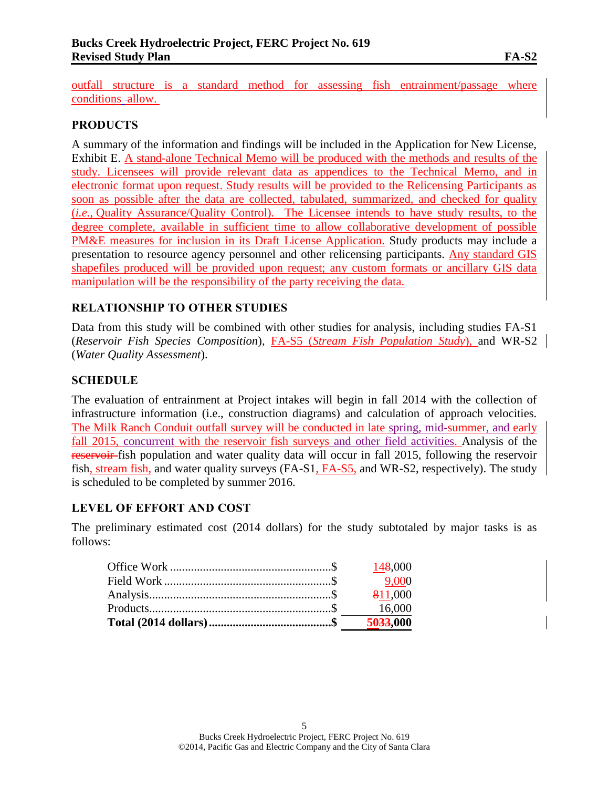outfall structure is a standard method for assessing fish entrainment/passage where conditions -allow.

### **PRODUCTS**

A summary of the information and findings will be included in the Application for New License, Exhibit E. A stand-alone Technical Memo will be produced with the methods and results of the study. Licensees will provide relevant data as appendices to the Technical Memo, and in electronic format upon request. Study results will be provided to the Relicensing Participants as soon as possible after the data are collected, tabulated, summarized, and checked for quality (*i.e.*, Quality Assurance/Quality Control). The Licensee intends to have study results, to the degree complete, available in sufficient time to allow collaborative development of possible PM&E measures for inclusion in its Draft License Application. Study products may include a presentation to resource agency personnel and other relicensing participants. Any standard GIS shapefiles produced will be provided upon request; any custom formats or ancillary GIS data manipulation will be the responsibility of the party receiving the data.

### **RELATIONSHIP TO OTHER STUDIES**

Data from this study will be combined with other studies for analysis, including studies FA-S1 (*Reservoir Fish Species Composition*), FA-S5 (*Stream Fish Population Study*), and WR-S2 (*Water Quality Assessment*).

### **SCHEDULE**

The evaluation of entrainment at Project intakes will begin in fall 2014 with the collection of infrastructure information (i.e., construction diagrams) and calculation of approach velocities. The Milk Ranch Conduit outfall survey will be conducted in late spring, mid-summer, and early fall 2015, concurrent with the reservoir fish surveys and other field activities. Analysis of the reservoir fish population and water quality data will occur in fall 2015, following the reservoir fish, stream fish, and water quality surveys (FA-S1, FA-S5, and WR-S2, respectively). The study is scheduled to be completed by summer 2016.

#### **LEVEL OF EFFORT AND COST**

The preliminary estimated cost (2014 dollars) for the study subtotaled by major tasks is as follows:

| 5033,000 |
|----------|
| 16,000   |
| 811,000  |
| 9.000    |
| 148,000  |